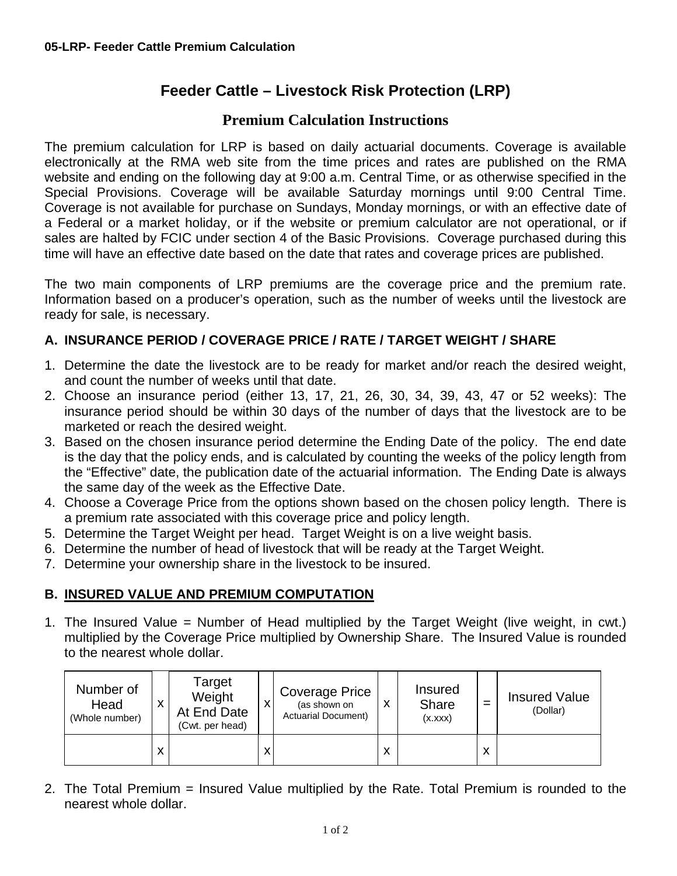## **Feeder Cattle – Livestock Risk Protection (LRP)**

## **Premium Calculation Instructions**

The premium calculation for LRP is based on daily actuarial documents. Coverage is available electronically at the RMA web site from the time prices and rates are published on the RMA website and ending on the following day at 9:00 a.m. Central Time, or as otherwise specified in the Special Provisions. Coverage will be available Saturday mornings until 9:00 Central Time. Coverage is not available for purchase on Sundays, Monday mornings, or with an effective date of a Federal or a market holiday, or if the website or premium calculator are not operational, or if sales are halted by FCIC under section 4 of the Basic Provisions. Coverage purchased during this time will have an effective date based on the date that rates and coverage prices are published.

The two main components of LRP premiums are the coverage price and the premium rate. Information based on a producer's operation, such as the number of weeks until the livestock are ready for sale, is necessary.

## **A. INSURANCE PERIOD / COVERAGE PRICE / RATE / TARGET WEIGHT / SHARE**

- 1. Determine the date the livestock are to be ready for market and/or reach the desired weight, and count the number of weeks until that date.
- 2. Choose an insurance period (either 13, 17, 21, 26, 30, 34, 39, 43, 47 or 52 weeks): The insurance period should be within 30 days of the number of days that the livestock are to be marketed or reach the desired weight.
- 3. Based on the chosen insurance period determine the Ending Date of the policy. The end date is the day that the policy ends, and is calculated by counting the weeks of the policy length from the "Effective" date, the publication date of the actuarial information. The Ending Date is always the same day of the week as the Effective Date.
- 4. Choose a Coverage Price from the options shown based on the chosen policy length. There is a premium rate associated with this coverage price and policy length.
- 5. Determine the Target Weight per head. Target Weight is on a live weight basis.
- 6. Determine the number of head of livestock that will be ready at the Target Weight.
- 7. Determine your ownership share in the livestock to be insured.

## **B. INSURED VALUE AND PREMIUM COMPUTATION**

1. The Insured Value = Number of Head multiplied by the Target Weight (live weight, in cwt.) multiplied by the Coverage Price multiplied by Ownership Share. The Insured Value is rounded to the nearest whole dollar.

| Number of<br>Head<br>(Whole number) | X | Target<br>Weight<br>At End Date<br>(Cwt. per head) | <b>Coverage Price</b><br>(as shown on<br><b>Actuarial Document)</b> | X | <b>Insured</b><br><b>Share</b><br>(x.xxx) |   | <b>Insured Value</b><br>(Dollar) |
|-------------------------------------|---|----------------------------------------------------|---------------------------------------------------------------------|---|-------------------------------------------|---|----------------------------------|
|                                     | X |                                                    |                                                                     | X |                                           | х |                                  |

2. The Total Premium = Insured Value multiplied by the Rate. Total Premium is rounded to the nearest whole dollar.